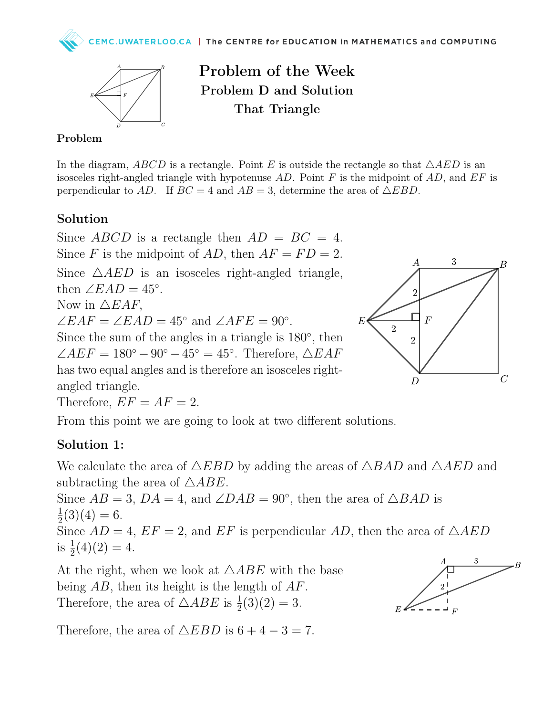

Problem of the Week Problem D and Solution That Triangle

## Problem

In the diagram, ABCD is a rectangle. Point E is outside the rectangle so that  $\triangle AED$  is an isosceles right-angled triangle with hypotenuse AD. Point F is the midpoint of AD, and  $EF$  is perpendicular to AD. If  $BC = 4$  and  $AB = 3$ , determine the area of  $\triangle EBD$ .

## Solution

Since ABCD is a rectangle then  $AD = BC = 4$ . Since F is the midpoint of AD, then  $AF = FD = 2$ .

Since  $\triangle AED$  is an isosceles right-angled triangle, then  $\angle EAD = 45^\circ$ .

Now in  $\triangle EAF$ ,

 $\angle EAF = \angle EAD = 45^{\circ}$  and  $\angle AFE = 90^{\circ}$ .

Since the sum of the angles in a triangle is  $180^\circ$ , then  $\angle AEF = 180^\circ - 90^\circ - 45^\circ = 45^\circ$ . Therefore,  $\triangle EAF$ has two equal angles and is therefore an isosceles rightangled triangle.

Therefore,  $EF = AF = 2$ .



А

3

Β

From this point we are going to look at two different solutions.

## Solution 1:

We calculate the area of  $\triangle EBD$  by adding the areas of  $\triangle BAD$  and  $\triangle AED$  and subtracting the area of  $\triangle ABE$ .

Since  $AB = 3$ ,  $DA = 4$ , and  $\angle DAB = 90^{\circ}$ , then the area of  $\triangle BAD$  is 1  $\frac{1}{2}(3)(4) = 6.$ 

Since  $AD = 4$ ,  $EF = 2$ , and  $EF$  is perpendicular  $AD$ , then the area of  $\triangle AED$ is  $\frac{1}{2}(4)(2) = 4$ .

At the right, when we look at  $\triangle ABE$  with the base being  $AB$ , then its height is the length of  $AF$ . Therefore, the area of  $\triangle ABE$  is  $\frac{1}{2}(3)(2) = 3$ .

Therefore, the area of  $\triangle EBD$  is  $6 + 4 - 3 = 7$ .